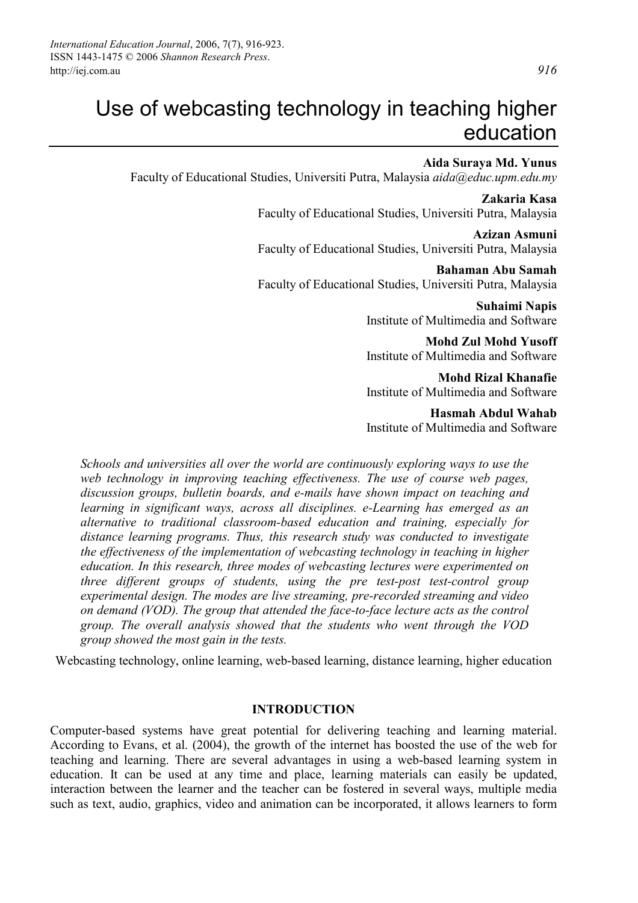# Use of webcasting technology in teaching higher education

## **Aida Suraya Md. Yunus**

Faculty of Educational Studies, Universiti Putra, Malaysia *aida@educ.upm.edu.my*

 **Zakaria Kasa**  Faculty of Educational Studies, Universiti Putra, Malaysia

**Azizan Asmuni**  Faculty of Educational Studies, Universiti Putra, Malaysia

**Bahaman Abu Samah**  Faculty of Educational Studies, Universiti Putra, Malaysia

> **Suhaimi Napis**  Institute of Multimedia and Software

> **Mohd Zul Mohd Yusoff**  Institute of Multimedia and Software

> **Mohd Rizal Khanafie**  Institute of Multimedia and Software

> **Hasmah Abdul Wahab**  Institute of Multimedia and Software

*Schools and universities all over the world are continuously exploring ways to use the*  web technology in improving teaching effectiveness. The use of course web pages, *discussion groups, bulletin boards, and e-mails have shown impact on teaching and learning in significant ways, across all disciplines. e-Learning has emerged as an alternative to traditional classroom-based education and training, especially for distance learning programs. Thus, this research study was conducted to investigate the effectiveness of the implementation of webcasting technology in teaching in higher education. In this research, three modes of webcasting lectures were experimented on three different groups of students, using the pre test-post test-control group experimental design. The modes are live streaming, pre-recorded streaming and video on demand (VOD). The group that attended the face-to-face lecture acts as the control group. The overall analysis showed that the students who went through the VOD group showed the most gain in the tests.* 

Webcasting technology, online learning, web-based learning, distance learning, higher education

#### **INTRODUCTION**

Computer-based systems have great potential for delivering teaching and learning material. According to Evans, et al. (2004), the growth of the internet has boosted the use of the web for teaching and learning. There are several advantages in using a web-based learning system in education. It can be used at any time and place, learning materials can easily be updated, interaction between the learner and the teacher can be fostered in several ways, multiple media such as text, audio, graphics, video and animation can be incorporated, it allows learners to form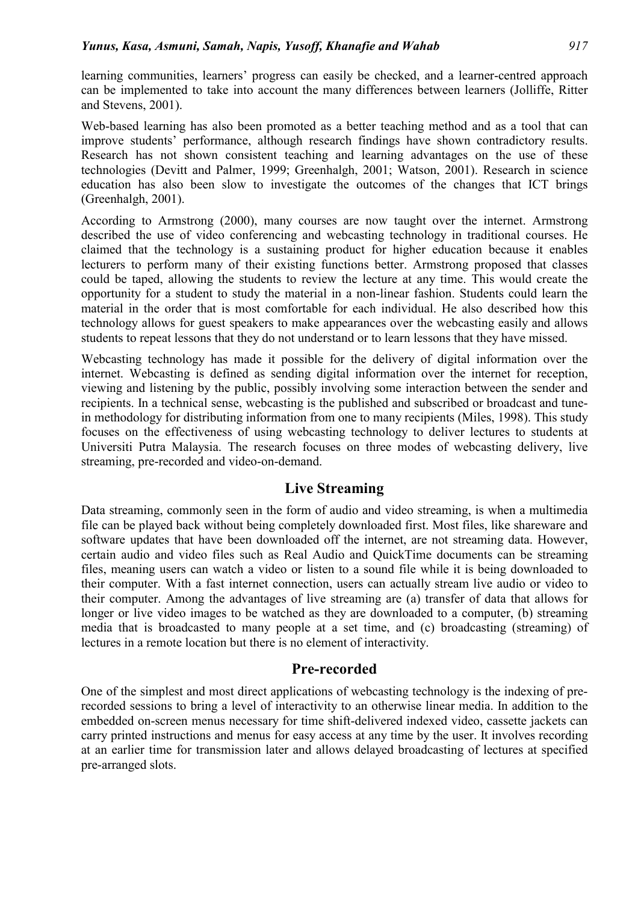learning communities, learners' progress can easily be checked, and a learner-centred approach can be implemented to take into account the many differences between learners (Jolliffe, Ritter and Stevens, 2001).

Web-based learning has also been promoted as a better teaching method and as a tool that can improve students' performance, although research findings have shown contradictory results. Research has not shown consistent teaching and learning advantages on the use of these technologies (Devitt and Palmer, 1999; Greenhalgh, 2001; Watson, 2001). Research in science education has also been slow to investigate the outcomes of the changes that ICT brings (Greenhalgh, 2001).

According to Armstrong (2000), many courses are now taught over the internet. Armstrong described the use of video conferencing and webcasting technology in traditional courses. He claimed that the technology is a sustaining product for higher education because it enables lecturers to perform many of their existing functions better. Armstrong proposed that classes could be taped, allowing the students to review the lecture at any time. This would create the opportunity for a student to study the material in a non-linear fashion. Students could learn the material in the order that is most comfortable for each individual. He also described how this technology allows for guest speakers to make appearances over the webcasting easily and allows students to repeat lessons that they do not understand or to learn lessons that they have missed.

Webcasting technology has made it possible for the delivery of digital information over the internet. Webcasting is defined as sending digital information over the internet for reception, viewing and listening by the public, possibly involving some interaction between the sender and recipients. In a technical sense, webcasting is the published and subscribed or broadcast and tunein methodology for distributing information from one to many recipients (Miles, 1998). This study focuses on the effectiveness of using webcasting technology to deliver lectures to students at Universiti Putra Malaysia. The research focuses on three modes of webcasting delivery, live streaming, pre-recorded and video-on-demand.

## **Live Streaming**

Data streaming, commonly seen in the form of audio and video streaming, is when a multimedia file can be played back without being completely downloaded first. Most files, like shareware and software updates that have been downloaded off the internet, are not streaming data. However, certain audio and video files such as Real Audio and QuickTime documents can be streaming files, meaning users can watch a video or listen to a sound file while it is being downloaded to their computer. With a fast internet connection, users can actually stream live audio or video to their computer. Among the advantages of live streaming are (a) transfer of data that allows for longer or live video images to be watched as they are downloaded to a computer, (b) streaming media that is broadcasted to many people at a set time, and (c) broadcasting (streaming) of lectures in a remote location but there is no element of interactivity.

## **Pre-recorded**

One of the simplest and most direct applications of webcasting technology is the indexing of prerecorded sessions to bring a level of interactivity to an otherwise linear media. In addition to the embedded on-screen menus necessary for time shift-delivered indexed video, cassette jackets can carry printed instructions and menus for easy access at any time by the user. It involves recording at an earlier time for transmission later and allows delayed broadcasting of lectures at specified pre-arranged slots.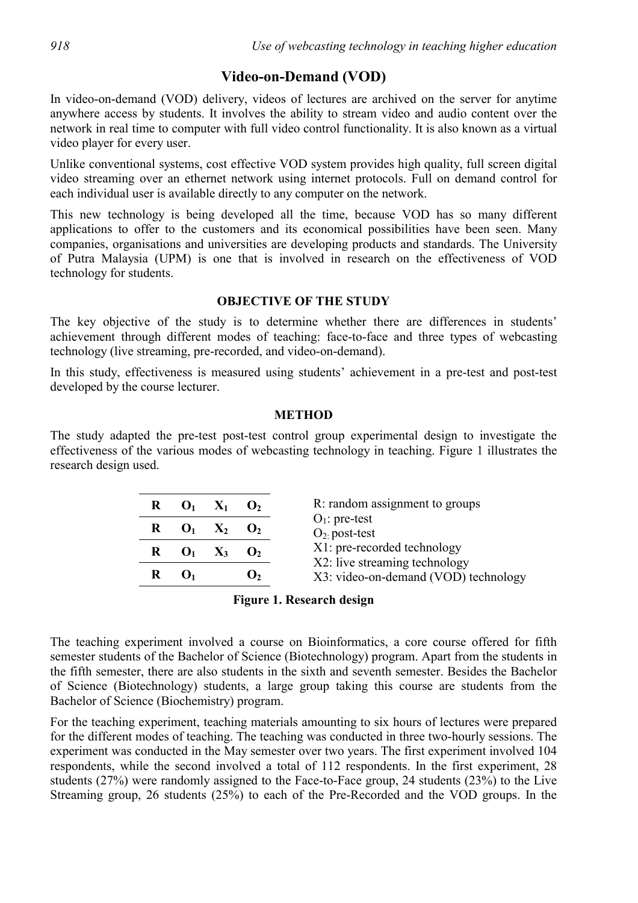## **Video-on-Demand (VOD)**

In video-on-demand (VOD) delivery, videos of lectures are archived on the server for anytime anywhere access by students. It involves the ability to stream video and audio content over the network in real time to computer with full video control functionality. It is also known as a virtual video player for every user.

Unlike conventional systems, cost effective VOD system provides high quality, full screen digital video streaming over an ethernet network using internet protocols. Full on demand control for each individual user is available directly to any computer on the network.

This new technology is being developed all the time, because VOD has so many different applications to offer to the customers and its economical possibilities have been seen. Many companies, organisations and universities are developing products and standards. The University of Putra Malaysia (UPM) is one that is involved in research on the effectiveness of VOD technology for students.

## **OBJECTIVE OF THE STUDY**

The key objective of the study is to determine whether there are differences in students' achievement through different modes of teaching: face-to-face and three types of webcasting technology (live streaming, pre-recorded, and video-on-demand).

In this study, effectiveness is measured using students' achievement in a pre-test and post-test developed by the course lecturer.

## **METHOD**

The study adapted the pre-test post-test control group experimental design to investigate the effectiveness of the various modes of webcasting technology in teaching. Figure 1 illustrates the research design used.

| $\mathbf{R}$ $\mathbf{O}_1$ $\mathbf{X}_1$ $\mathbf{O}_2$ |  | R: random assignment to groups                               |
|-----------------------------------------------------------|--|--------------------------------------------------------------|
| $\mathbf{R}$ $\mathbf{O}_1$ $\mathbf{X}_2$ $\mathbf{O}_2$ |  | $O1$ : pre-test<br>$O_2$ post-test                           |
| $\mathbf{R}$ $\mathbf{O}_1$ $\mathbf{X}_3$ $\mathbf{O}_2$ |  | X1: pre-recorded technology<br>X2: live streaming technology |
|                                                           |  | X3: video-on-demand (VOD) technology                         |
|                                                           |  |                                                              |

## **Figure 1. Research design**

The teaching experiment involved a course on Bioinformatics, a core course offered for fifth semester students of the Bachelor of Science (Biotechnology) program. Apart from the students in the fifth semester, there are also students in the sixth and seventh semester. Besides the Bachelor of Science (Biotechnology) students, a large group taking this course are students from the Bachelor of Science (Biochemistry) program.

For the teaching experiment, teaching materials amounting to six hours of lectures were prepared for the different modes of teaching. The teaching was conducted in three two-hourly sessions. The experiment was conducted in the May semester over two years. The first experiment involved 104 respondents, while the second involved a total of 112 respondents. In the first experiment, 28 students (27%) were randomly assigned to the Face-to-Face group, 24 students (23%) to the Live Streaming group, 26 students (25%) to each of the Pre-Recorded and the VOD groups. In the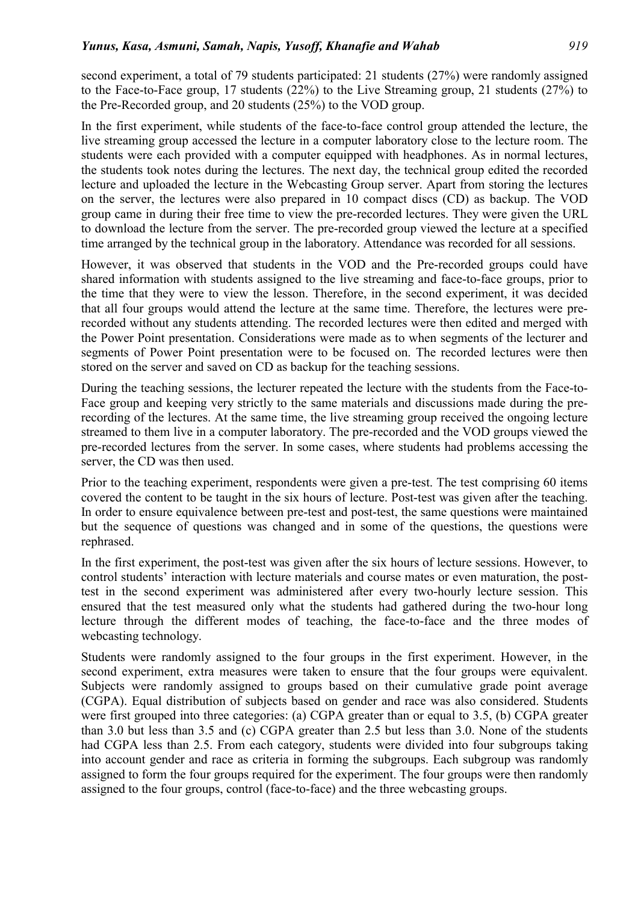second experiment, a total of 79 students participated: 21 students (27%) were randomly assigned to the Face-to-Face group, 17 students (22%) to the Live Streaming group, 21 students (27%) to the Pre-Recorded group, and 20 students (25%) to the VOD group.

In the first experiment, while students of the face-to-face control group attended the lecture, the live streaming group accessed the lecture in a computer laboratory close to the lecture room. The students were each provided with a computer equipped with headphones. As in normal lectures, the students took notes during the lectures. The next day, the technical group edited the recorded lecture and uploaded the lecture in the Webcasting Group server. Apart from storing the lectures on the server, the lectures were also prepared in 10 compact discs (CD) as backup. The VOD group came in during their free time to view the pre-recorded lectures. They were given the URL to download the lecture from the server. The pre-recorded group viewed the lecture at a specified time arranged by the technical group in the laboratory. Attendance was recorded for all sessions.

However, it was observed that students in the VOD and the Pre-recorded groups could have shared information with students assigned to the live streaming and face-to-face groups, prior to the time that they were to view the lesson. Therefore, in the second experiment, it was decided that all four groups would attend the lecture at the same time. Therefore, the lectures were prerecorded without any students attending. The recorded lectures were then edited and merged with the Power Point presentation. Considerations were made as to when segments of the lecturer and segments of Power Point presentation were to be focused on. The recorded lectures were then stored on the server and saved on CD as backup for the teaching sessions.

During the teaching sessions, the lecturer repeated the lecture with the students from the Face-to-Face group and keeping very strictly to the same materials and discussions made during the prerecording of the lectures. At the same time, the live streaming group received the ongoing lecture streamed to them live in a computer laboratory. The pre-recorded and the VOD groups viewed the pre-recorded lectures from the server. In some cases, where students had problems accessing the server, the CD was then used.

Prior to the teaching experiment, respondents were given a pre-test. The test comprising 60 items covered the content to be taught in the six hours of lecture. Post-test was given after the teaching. In order to ensure equivalence between pre-test and post-test, the same questions were maintained but the sequence of questions was changed and in some of the questions, the questions were rephrased.

In the first experiment, the post-test was given after the six hours of lecture sessions. However, to control students' interaction with lecture materials and course mates or even maturation, the posttest in the second experiment was administered after every two-hourly lecture session. This ensured that the test measured only what the students had gathered during the two-hour long lecture through the different modes of teaching, the face-to-face and the three modes of webcasting technology.

Students were randomly assigned to the four groups in the first experiment. However, in the second experiment, extra measures were taken to ensure that the four groups were equivalent. Subjects were randomly assigned to groups based on their cumulative grade point average (CGPA). Equal distribution of subjects based on gender and race was also considered. Students were first grouped into three categories: (a) CGPA greater than or equal to 3.5, (b) CGPA greater than 3.0 but less than 3.5 and (c) CGPA greater than 2.5 but less than 3.0. None of the students had CGPA less than 2.5. From each category, students were divided into four subgroups taking into account gender and race as criteria in forming the subgroups. Each subgroup was randomly assigned to form the four groups required for the experiment. The four groups were then randomly assigned to the four groups, control (face-to-face) and the three webcasting groups.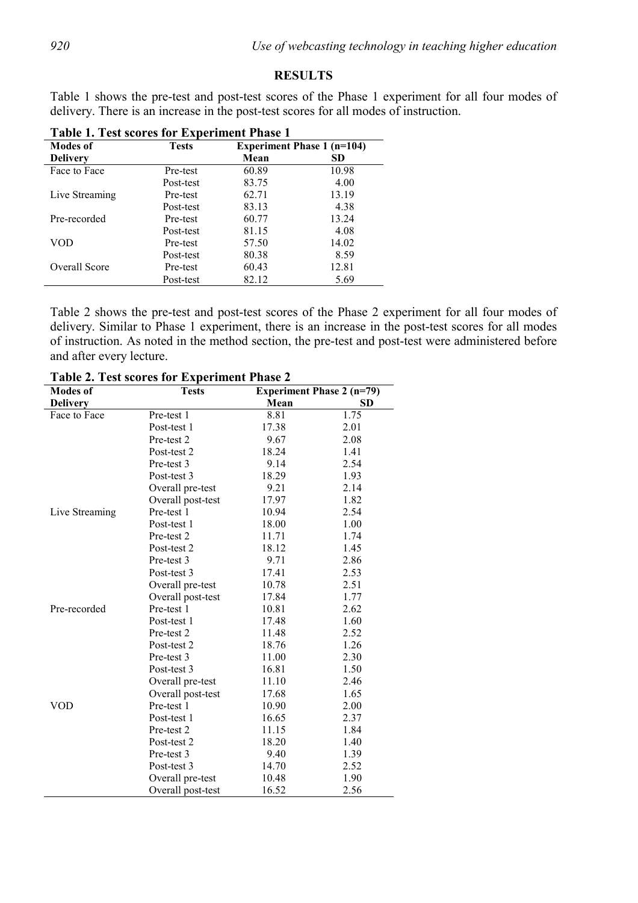#### **RESULTS**

Table 1 shows the pre-test and post-test scores of the Phase 1 experiment for all four modes of delivery. There is an increase in the post-test scores for all modes of instruction.

| <b>Modes of</b> | <b>Tests</b> | Table 1. Test scores for Experiment I hase T<br><b>Experiment Phase 1 (n=104)</b> |       |  |
|-----------------|--------------|-----------------------------------------------------------------------------------|-------|--|
| <b>Delivery</b> |              | Mean                                                                              | SD.   |  |
| Face to Face    | Pre-test     | 60.89                                                                             | 10.98 |  |
|                 | Post-test    | 83.75                                                                             | 4.00  |  |
| Live Streaming  | Pre-test     | 62.71                                                                             | 13.19 |  |
|                 | Post-test    | 83.13                                                                             | 4.38  |  |
| Pre-recorded    | Pre-test     | 60.77                                                                             | 13.24 |  |
|                 | Post-test    | 81.15                                                                             | 4.08  |  |
| VOD             | Pre-test     | 57.50                                                                             | 14.02 |  |
|                 | Post-test    | 80.38                                                                             | 8.59  |  |
| Overall Score   | Pre-test     | 60.43                                                                             | 12.81 |  |
|                 | Post-test    | 82.12                                                                             | 5.69  |  |

**Table 1. Test scores for Experiment Phase 1** 

Table 2 shows the pre-test and post-test scores of the Phase 2 experiment for all four modes of delivery. Similar to Phase 1 experiment, there is an increase in the post-test scores for all modes of instruction. As noted in the method section, the pre-test and post-test were administered before and after every lecture.

| <b>Modes of</b> | <b>Table 2.</b> Test scores for Experiment 1 hasc 2<br><b>Tests</b> | <b>Experiment Phase 2 (n=79)</b> |           |  |
|-----------------|---------------------------------------------------------------------|----------------------------------|-----------|--|
| <b>Delivery</b> |                                                                     | Mean                             | <b>SD</b> |  |
| Face to Face    | Pre-test 1                                                          | 8.81                             | 1.75      |  |
|                 | Post-test 1                                                         | 17.38                            | 2.01      |  |
|                 | Pre-test 2                                                          | 9.67                             | 2.08      |  |
|                 | Post-test 2                                                         | 18.24                            | 1.41      |  |
|                 | Pre-test 3                                                          | 9.14                             | 2.54      |  |
|                 | Post-test 3                                                         | 18.29                            | 1.93      |  |
|                 | Overall pre-test                                                    | 9.21                             | 2.14      |  |
|                 | Overall post-test                                                   | 17.97                            | 1.82      |  |
| Live Streaming  | Pre-test 1                                                          | 10.94                            | 2.54      |  |
|                 | Post-test 1                                                         | 18.00                            | 1.00      |  |
|                 | Pre-test 2                                                          | 11.71                            | 1.74      |  |
|                 | Post-test 2                                                         | 18.12                            | 1.45      |  |
|                 | Pre-test 3                                                          | 9.71                             | 2.86      |  |
|                 | Post-test 3                                                         | 17.41                            | 2.53      |  |
|                 | Overall pre-test                                                    | 10.78                            | 2.51      |  |
|                 | Overall post-test                                                   | 17.84                            | 1.77      |  |
| Pre-recorded    | Pre-test 1                                                          | 10.81                            | 2.62      |  |
|                 | Post-test 1                                                         | 17.48                            | 1.60      |  |
|                 | Pre-test 2                                                          | 11.48                            | 2.52      |  |
|                 | Post-test 2                                                         | 18.76                            | 1.26      |  |
|                 | Pre-test 3                                                          | 11.00                            | 2.30      |  |
|                 | Post-test 3                                                         | 16.81                            | 1.50      |  |
|                 | Overall pre-test                                                    | 11.10                            | 2.46      |  |
|                 | Overall post-test                                                   | 17.68                            | 1.65      |  |
| VOD             | Pre-test 1                                                          | 10.90                            | 2.00      |  |
|                 | Post-test 1                                                         | 16.65                            | 2.37      |  |
|                 | Pre-test 2                                                          | 11.15                            | 1.84      |  |
|                 | Post-test 2                                                         | 18.20                            | 1.40      |  |
|                 | Pre-test 3                                                          | 9.40                             | 1.39      |  |
|                 | Post-test 3                                                         | 14.70                            | 2.52      |  |
|                 | Overall pre-test                                                    | 10.48                            | 1.90      |  |
|                 | Overall post-test                                                   | 16.52                            | 2.56      |  |

**Table 2. Test scores for Experiment Phase 2**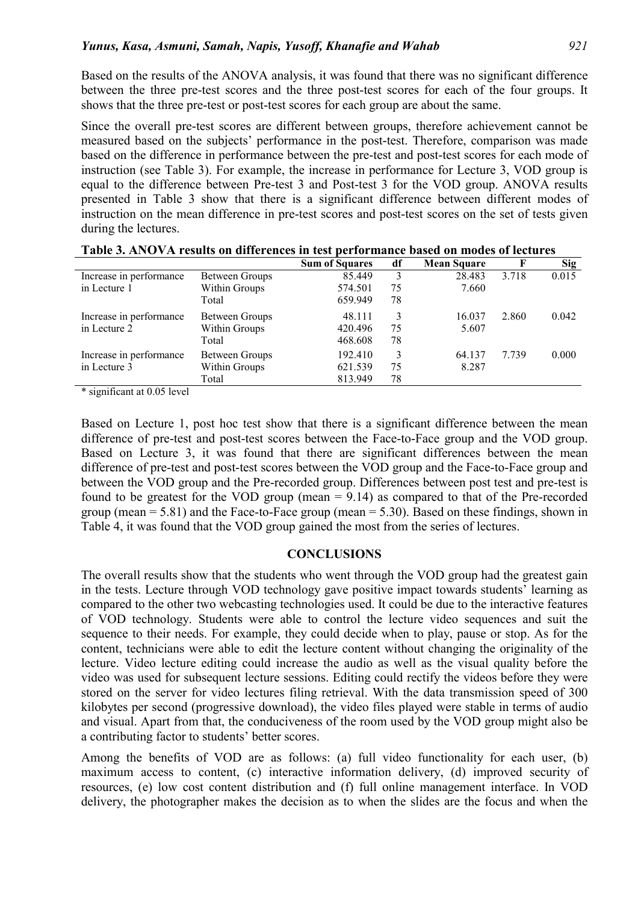Based on the results of the ANOVA analysis, it was found that there was no significant difference between the three pre-test scores and the three post-test scores for each of the four groups. It shows that the three pre-test or post-test scores for each group are about the same.

Since the overall pre-test scores are different between groups, therefore achievement cannot be measured based on the subjects' performance in the post-test. Therefore, comparison was made based on the difference in performance between the pre-test and post-test scores for each mode of instruction (see Table 3). For example, the increase in performance for Lecture 3, VOD group is equal to the difference between Pre-test 3 and Post-test 3 for the VOD group. ANOVA results presented in Table 3 show that there is a significant difference between different modes of instruction on the mean difference in pre-test scores and post-test scores on the set of tests given during the lectures.

|                                                                                        |                       | <b>Sum of Squares</b> | df | <b>Mean Square</b> |       | <b>Sig</b> |
|----------------------------------------------------------------------------------------|-----------------------|-----------------------|----|--------------------|-------|------------|
| Increase in performance                                                                | Between Groups        | 85.449                | 3  | 28.483             | 3.718 | 0.015      |
| in Lecture 1                                                                           | Within Groups         | 574.501               | 75 | 7.660              |       |            |
|                                                                                        | Total                 | 659.949               | 78 |                    |       |            |
| Increase in performance                                                                | Between Groups        | 48.111                | 3  | 16.037             | 2.860 | 0.042      |
| in Lecture 2                                                                           | Within Groups         | 420.496               | 75 | 5.607              |       |            |
|                                                                                        | Total                 | 468.608               | 78 |                    |       |            |
| Increase in performance                                                                | <b>Between Groups</b> | 192.410               | 3  | 64.137             | 7.739 | 0.000      |
| in Lecture 3                                                                           | Within Groups         | 621.539               | 75 | 8.287              |       |            |
|                                                                                        | Total                 | 813.949               | 78 |                    |       |            |
| $\mathbf{a}$ . The set of $\mathbf{a}$<br>$\cdot$ $\sim$<br>$\cdots$ $\alpha$ $\alpha$ |                       |                       |    |                    |       |            |

| Table 3. ANOVA results on differences in test performance based on modes of lectures |
|--------------------------------------------------------------------------------------|
|--------------------------------------------------------------------------------------|

\* significant at 0.05 level

Based on Lecture 1, post hoc test show that there is a significant difference between the mean difference of pre-test and post-test scores between the Face-to-Face group and the VOD group. Based on Lecture 3, it was found that there are significant differences between the mean difference of pre-test and post-test scores between the VOD group and the Face-to-Face group and between the VOD group and the Pre-recorded group. Differences between post test and pre-test is found to be greatest for the VOD group (mean  $= 9.14$ ) as compared to that of the Pre-recorded group (mean  $= 5.81$ ) and the Face-to-Face group (mean  $= 5.30$ ). Based on these findings, shown in Table 4, it was found that the VOD group gained the most from the series of lectures.

#### **CONCLUSIONS**

The overall results show that the students who went through the VOD group had the greatest gain in the tests. Lecture through VOD technology gave positive impact towards students' learning as compared to the other two webcasting technologies used. It could be due to the interactive features of VOD technology. Students were able to control the lecture video sequences and suit the sequence to their needs. For example, they could decide when to play, pause or stop. As for the content, technicians were able to edit the lecture content without changing the originality of the lecture. Video lecture editing could increase the audio as well as the visual quality before the video was used for subsequent lecture sessions. Editing could rectify the videos before they were stored on the server for video lectures filing retrieval. With the data transmission speed of 300 kilobytes per second (progressive download), the video files played were stable in terms of audio and visual. Apart from that, the conduciveness of the room used by the VOD group might also be a contributing factor to students' better scores.

Among the benefits of VOD are as follows: (a) full video functionality for each user, (b) maximum access to content, (c) interactive information delivery, (d) improved security of resources, (e) low cost content distribution and (f) full online management interface. In VOD delivery, the photographer makes the decision as to when the slides are the focus and when the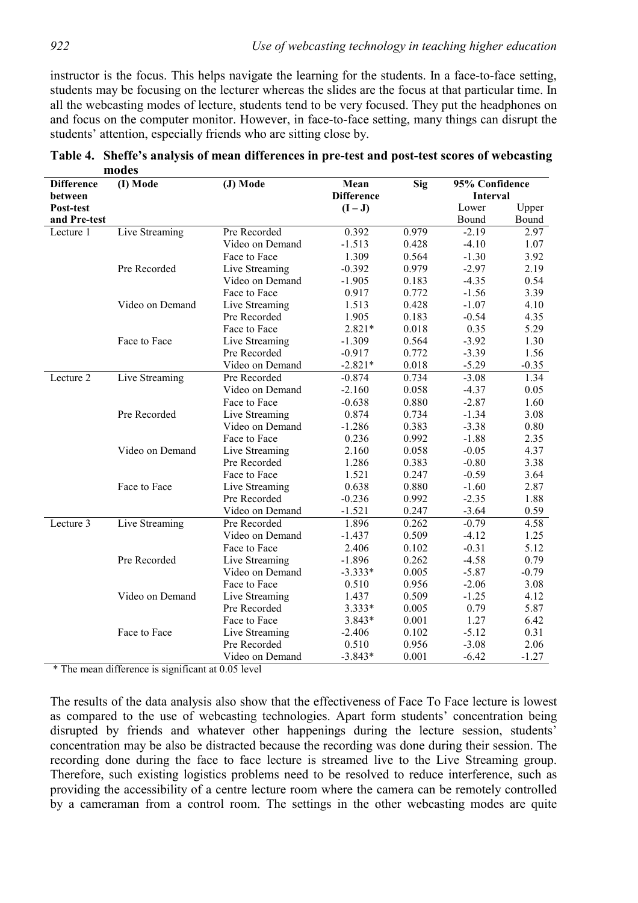instructor is the focus. This helps navigate the learning for the students. In a face-to-face setting, students may be focusing on the lecturer whereas the slides are the focus at that particular time. In all the webcasting modes of lecture, students tend to be very focused. They put the headphones on and focus on the computer monitor. However, in face-to-face setting, many things can disrupt the students' attention, especially friends who are sitting close by.

| <b>Difference</b> | (I) Mode        | (J) Mode        | Mean              | <b>Sig</b> | 95% Confidence |         |
|-------------------|-----------------|-----------------|-------------------|------------|----------------|---------|
| between           |                 |                 | <b>Difference</b> |            | Interval       |         |
| Post-test         |                 |                 | $(I-J)$           |            | Lower          | Upper   |
| and Pre-test      |                 |                 |                   |            | Bound          | Bound   |
| Lecture 1         | Live Streaming  | Pre Recorded    | 0.392             | 0.979      | $-2.19$        | 2.97    |
|                   |                 | Video on Demand | $-1.513$          | 0.428      | $-4.10$        | 1.07    |
|                   |                 | Face to Face    | 1.309             | 0.564      | $-1.30$        | 3.92    |
|                   | Pre Recorded    | Live Streaming  | $-0.392$          | 0.979      | $-2.97$        | 2.19    |
|                   |                 | Video on Demand | $-1.905$          | 0.183      | $-4.35$        | 0.54    |
|                   |                 | Face to Face    | 0.917             | 0.772      | $-1.56$        | 3.39    |
|                   | Video on Demand | Live Streaming  | 1.513             | 0.428      | $-1.07$        | 4.10    |
|                   |                 | Pre Recorded    | 1.905             | 0.183      | $-0.54$        | 4.35    |
|                   |                 | Face to Face    | $2.821*$          | 0.018      | 0.35           | 5.29    |
|                   | Face to Face    | Live Streaming  | $-1.309$          | 0.564      | $-3.92$        | 1.30    |
|                   |                 | Pre Recorded    | $-0.917$          | 0.772      | $-3.39$        | 1.56    |
|                   |                 | Video on Demand | $-2.821*$         | 0.018      | $-5.29$        | $-0.35$ |
| Lecture 2         | Live Streaming  | Pre Recorded    | $-0.874$          | 0.734      | $-3.08$        | 1.34    |
|                   |                 | Video on Demand | $-2.160$          | 0.058      | $-4.37$        | 0.05    |
|                   |                 | Face to Face    | $-0.638$          | 0.880      | $-2.87$        | 1.60    |
|                   | Pre Recorded    | Live Streaming  | 0.874             | 0.734      | $-1.34$        | 3.08    |
|                   |                 | Video on Demand | $-1.286$          | 0.383      | $-3.38$        | 0.80    |
|                   |                 | Face to Face    | 0.236             | 0.992      | $-1.88$        | 2.35    |
|                   | Video on Demand | Live Streaming  | 2.160             | 0.058      | $-0.05$        | 4.37    |
|                   |                 | Pre Recorded    | 1.286             | 0.383      | $-0.80$        | 3.38    |
|                   |                 | Face to Face    | 1.521             | 0.247      | $-0.59$        | 3.64    |
|                   | Face to Face    | Live Streaming  | 0.638             | 0.880      | $-1.60$        | 2.87    |
|                   |                 | Pre Recorded    | $-0.236$          | 0.992      | $-2.35$        | 1.88    |
|                   |                 | Video on Demand | $-1.521$          | 0.247      | $-3.64$        | 0.59    |
| Lecture 3         | Live Streaming  | Pre Recorded    | 1.896             | 0.262      | $-0.79$        | 4.58    |
|                   |                 | Video on Demand | $-1.437$          | 0.509      | $-4.12$        | 1.25    |
|                   |                 | Face to Face    | 2.406             | 0.102      | $-0.31$        | 5.12    |
|                   | Pre Recorded    | Live Streaming  | $-1.896$          | 0.262      | $-4.58$        | 0.79    |
|                   |                 | Video on Demand | $-3.333*$         | 0.005      | $-5.87$        | $-0.79$ |
|                   |                 | Face to Face    | 0.510             | 0.956      | $-2.06$        | 3.08    |
|                   | Video on Demand | Live Streaming  | 1.437             | 0.509      | $-1.25$        | 4.12    |
|                   |                 | Pre Recorded    | 3.333*            | 0.005      | 0.79           | 5.87    |
|                   |                 | Face to Face    | 3.843*            | 0.001      | 1.27           | 6.42    |
|                   | Face to Face    | Live Streaming  | $-2.406$          | 0.102      | $-5.12$        | 0.31    |
|                   |                 | Pre Recorded    | 0.510             | 0.956      | $-3.08$        | 2.06    |
|                   |                 | Video on Demand | $-3.843*$         | 0.001      | $-6.42$        | $-1.27$ |

**Table 4. Sheffe's analysis of mean differences in pre-test and post-test scores of webcasting modes** 

\* The mean difference is significant at 0.05 level

The results of the data analysis also show that the effectiveness of Face To Face lecture is lowest as compared to the use of webcasting technologies. Apart form students' concentration being disrupted by friends and whatever other happenings during the lecture session, students' concentration may be also be distracted because the recording was done during their session. The recording done during the face to face lecture is streamed live to the Live Streaming group. Therefore, such existing logistics problems need to be resolved to reduce interference, such as providing the accessibility of a centre lecture room where the camera can be remotely controlled by a cameraman from a control room. The settings in the other webcasting modes are quite